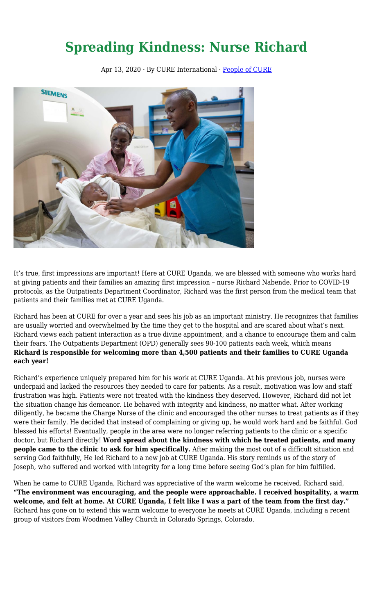## **Spreading Kindness: Nurse Richard**

Apr 13, 2020 · By CURE International · [People of CURE](https://cure.org/category/people-of-cure/)



It's true, first impressions are important! Here at CURE Uganda, we are blessed with someone who works hard at giving patients and their families an amazing first impression – nurse Richard Nabende. Prior to COVID-19 protocols, as the Outpatients Department Coordinator, Richard was the first person from the medical team that patients and their families met at CURE Uganda.

Richard has been at CURE for over a year and sees his job as an important ministry. He recognizes that families are usually worried and overwhelmed by the time they get to the hospital and are scared about what's next. Richard views each patient interaction as a true divine appointment, and a chance to encourage them and calm their fears. The Outpatients Department (OPD) generally sees 90-100 patients each week, which means **Richard is responsible for welcoming more than 4,500 patients and their families to CURE Uganda each year!** 

Richard's experience uniquely prepared him for his work at CURE Uganda. At his previous job, nurses were underpaid and lacked the resources they needed to care for patients. As a result, motivation was low and staff frustration was high. Patients were not treated with the kindness they deserved. However, Richard did not let the situation change his demeanor. He behaved with integrity and kindness, no matter what. After working diligently, he became the Charge Nurse of the clinic and encouraged the other nurses to treat patients as if they were their family. He decided that instead of complaining or giving up, he would work hard and be faithful. God blessed his efforts! Eventually, people in the area were no longer referring patients to the clinic or a specific doctor, but Richard directly! **Word spread about the kindness with which he treated patients, and many people came to the clinic to ask for him specifically.** After making the most out of a difficult situation and serving God faithfully, He led Richard to a new job at CURE Uganda. His story reminds us of the story of Joseph, who suffered and worked with integrity for a long time before seeing God's plan for him fulfilled.

When he came to CURE Uganda, Richard was appreciative of the warm welcome he received. Richard said, **"The environment was encouraging, and the people were approachable. I received hospitality, a warm welcome, and felt at home. At CURE Uganda, I felt like I was a part of the team from the first day."** Richard has gone on to extend this warm welcome to everyone he meets at CURE Uganda, including a recent group of visitors from Woodmen Valley Church in Colorado Springs, Colorado.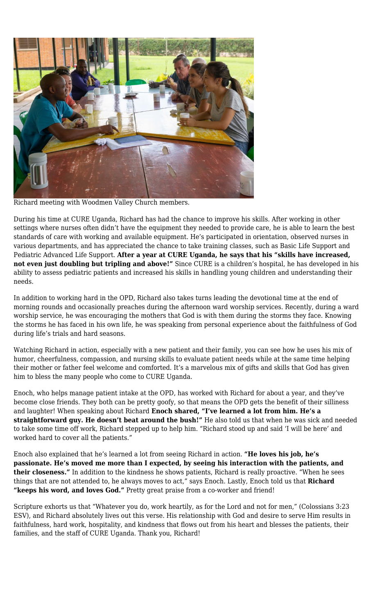

Richard meeting with Woodmen Valley Church members.

During his time at CURE Uganda, Richard has had the chance to improve his skills. After working in other settings where nurses often didn't have the equipment they needed to provide care, he is able to learn the best standards of care with working and available equipment. He's participated in orientation, observed nurses in various departments, and has appreciated the chance to take training classes, such as Basic Life Support and Pediatric Advanced Life Support. **After a year at CURE Uganda, he says that his "skills have increased, not even just doubling but tripling and above!"** Since CURE is a children's hospital, he has developed in his ability to assess pediatric patients and increased his skills in handling young children and understanding their needs.

In addition to working hard in the OPD, Richard also takes turns leading the devotional time at the end of morning rounds and occasionally preaches during the afternoon ward worship services. Recently, during a ward worship service, he was encouraging the mothers that God is with them during the storms they face. Knowing the storms he has faced in his own life, he was speaking from personal experience about the faithfulness of God during life's trials and hard seasons.

Watching Richard in action, especially with a new patient and their family, you can see how he uses his mix of humor, cheerfulness, compassion, and nursing skills to evaluate patient needs while at the same time helping their mother or father feel welcome and comforted. It's a marvelous mix of gifts and skills that God has given him to bless the many people who come to CURE Uganda.

Enoch, who helps manage patient intake at the OPD, has worked with Richard for about a year, and they've become close friends. They both can be pretty goofy, so that means the OPD gets the benefit of their silliness and laughter! When speaking about Richard **Enoch shared, "I've learned a lot from him. He's a straightforward guy. He doesn't beat around the bush!"** He also told us that when he was sick and needed to take some time off work, Richard stepped up to help him. "Richard stood up and said 'I will be here' and worked hard to cover all the patients."

Enoch also explained that he's learned a lot from seeing Richard in action. **"He loves his job, he's passionate. He's moved me more than I expected, by seeing his interaction with the patients, and their closeness."** In addition to the kindness he shows patients, Richard is really proactive. "When he sees things that are not attended to, he always moves to act," says Enoch. Lastly, Enoch told us that **Richard "keeps his word, and loves God."** Pretty great praise from a co-worker and friend!

Scripture exhorts us that "Whatever you do, work heartily, as for the Lord and not for men," (Colossians 3:23 ESV), and Richard absolutely lives out this verse. His relationship with God and desire to serve Him results in faithfulness, hard work, hospitality, and kindness that flows out from his heart and blesses the patients, their families, and the staff of CURE Uganda. Thank you, Richard!